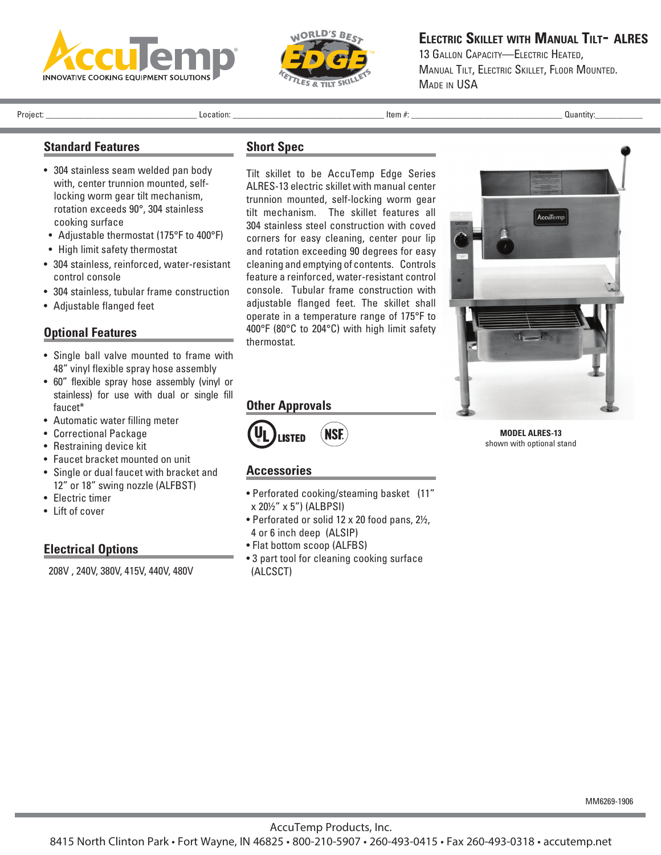



**Electric Skillet with Manual Tilt- ALRES**

13 GALLON CAPACITY-ELECTRIC HEATED. Manual Tilt, Electric Skillet, Floor Mounted. Made in USA

Project: \_\_\_\_\_\_\_\_\_\_\_\_\_\_\_\_\_\_\_\_\_\_\_\_\_\_\_\_\_\_\_\_\_\_\_ Location: \_\_\_\_\_\_\_\_\_\_\_\_\_\_\_\_\_\_\_\_\_\_\_\_\_\_\_\_\_\_\_\_\_\_\_ Item #: \_\_\_\_\_\_\_\_\_\_\_\_\_\_\_\_\_\_\_\_\_\_\_\_\_\_\_\_\_\_\_\_\_\_\_ Quantity:\_\_\_\_\_\_\_\_\_\_\_

# **Standard Features**

- 304 stainless seam welded pan body with, center trunnion mounted, selflocking worm gear tilt mechanism, rotation exceeds 90°, 304 stainless cooking surface
- Adjustable thermostat (175°F to 400°F)
- High limit safety thermostat
- 304 stainless, reinforced, water-resistant control console
- 304 stainless, tubular frame construction
- Adjustable flanged feet

## **Optional Features**

- Single ball valve mounted to frame with 48" vinyl flexible spray hose assembly
- 60" flexible spray hose assembly (vinyl or stainless) for use with dual or single fill faucet\*
- Automatic water filling meter
- Correctional Package
- Restraining device kit
- Faucet bracket mounted on unit
- Single or dual faucet with bracket and 12" or 18" swing nozzle (ALFBST)
- Electric timer
- Lift of cover

### **Electrical Options**

208V , 240V, 380V, 415V, 440V, 480V

### **Short Spec**

Tilt skillet to be AccuTemp Edge Series ALRES-13 electric skillet with manual center trunnion mounted, self-locking worm gear tilt mechanism. The skillet features all 304 stainless steel construction with coved corners for easy cleaning, center pour lip and rotation exceeding 90 degrees for easy cleaning and emptying of contents. Controls feature a reinforced, water-resistant control console. Tubular frame construction with adjustable flanged feet. The skillet shall operate in a temperature range of 175°F to 400°F (80°C to 204°C) with high limit safety thermostat.



**MODEL ALRES-13**  shown with optional stand

### **Accessories**

**Other Approvals**

**ISTED** 

• Perforated cooking/steaming basket (11" x 20½" x 5") (ALBPSI)

**NSE** 

- Perforated or solid 12 x 20 food pans, 2½, 4 or 6 inch deep (ALSIP)
- Flat bottom scoop (ALFBS)
- 3 part tool for cleaning cooking surface (ALCSCT)

MM6269-1906

AccuTemp Products, Inc.

8415 North Clinton Park • Fort Wayne, IN 46825 • 800-210-5907 • 260-493-0415 • Fax 260-493-0318 • accutemp.net